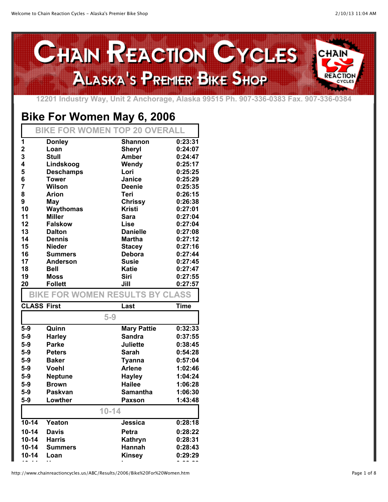

**12201 Industry Way, Unit 2 Anchorage, Alaska 99515 Ph. 907-336-0383 Fax. 907-336-0384**

## **Bike For Women May 6, 2006**

|    | <b>BIKE FOR WOMEN TOP 20 OVERALL</b> |                 |         |
|----|--------------------------------------|-----------------|---------|
| 1  | <b>Donley</b>                        | <b>Shannon</b>  | 0:23:31 |
| 2  | Loan                                 | <b>Sheryl</b>   | 0:24:07 |
| 3  | Stull                                | <b>Amber</b>    | 0:24:47 |
| 4  | Lindskoog                            | Wendy           | 0:25:17 |
| 5  | <b>Deschamps</b>                     | Lori            | 0:25:25 |
| 6  | Tower                                | <b>Janice</b>   | 0:25:29 |
| 7  | <b>Wilson</b>                        | Deenie          | 0:25:35 |
| 8  | Arion                                | Teri            | 0:26:15 |
| 9  | May                                  | <b>Chrissy</b>  | 0:26:38 |
| 10 | Waythomas                            | <b>Kristi</b>   | 0:27:01 |
| 11 | <b>Miller</b>                        | Sara            | 0:27:04 |
| 12 | <b>Falskow</b>                       | Lise            | 0:27:04 |
| 13 | <b>Dalton</b>                        | <b>Danielle</b> | 0:27:08 |
| 14 | <b>Dennis</b>                        | Martha          | 0:27:12 |
| 15 | <b>Nieder</b>                        | <b>Stacey</b>   | 0:27:16 |
| 16 | <b>Summers</b>                       | Debora          | 0:27:44 |
| 17 | <b>Anderson</b>                      | <b>Susie</b>    | 0:27:45 |
| 18 | Bell                                 | Katie           | 0:27:47 |
| 19 | <b>Moss</b>                          | Siri            | 0:27:55 |
| 20 | <b>Follett</b>                       | Jill            | 0:27:57 |

## **BIKE FOR WOMEN RESULTS BY CLASS**

| <b>CLASS First</b> |                | Last               | <b>Time</b> |
|--------------------|----------------|--------------------|-------------|
|                    |                | $5-9$              |             |
| $5-9$              | Quinn          | <b>Mary Pattie</b> | 0:32:33     |
| $5-9$              | Harley         | <b>Sandra</b>      | 0:37:55     |
| $5-9$              | Parke          | <b>Juliette</b>    | 0:38:45     |
| $5-9$              | <b>Peters</b>  | Sarah              | 0:54:28     |
| $5-9$              | <b>Baker</b>   | <b>Tyanna</b>      | 0:57:04     |
| $5-9$              | Voehl          | <b>Arlene</b>      | 1:02:46     |
| $5-9$              | <b>Neptune</b> | <b>Hayley</b>      | 1:04:24     |
| $5-9$              | <b>Brown</b>   | Hailee             | 1:06:28     |
| $5-9$              | Paskvan        | Samantha           | 1:06:30     |
| $5-9$              | Lowther        | Paxson             | 1:43:48     |
|                    |                | $10 - 14$          |             |
| $10 - 14$          | Yeaton         | Jessica            | 0:28:18     |
| $10 - 14$          | Davis          | Petra              | 0:28:22     |
| 10-14              | Harris         | Kathryn            | 0:28:31     |
| $10 - 14$          | Summers        | <b>Hannah</b>      | 0:28:43     |
| 10-14              | Loan           | <b>Kinsey</b>      | 0:29:29     |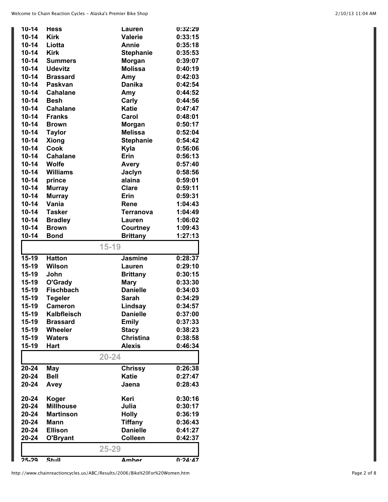| $10 - 14$ | <b>Hess</b>        | Lauren           | 0:32:29     |
|-----------|--------------------|------------------|-------------|
| $10 - 14$ | <b>Kirk</b>        | <b>Valerie</b>   | 0:33:15     |
| $10 - 14$ | Liotta             | Annie            | 0:35:18     |
| $10 - 14$ | <b>Kirk</b>        | <b>Stephanie</b> | 0:35:53     |
| $10 - 14$ | <b>Summers</b>     | <b>Morgan</b>    | 0:39:07     |
| $10 - 14$ | <b>Udevitz</b>     | <b>Molissa</b>   | 0:40:19     |
| $10 - 14$ | <b>Brassard</b>    | Amy              | 0:42:03     |
| $10 - 14$ | Paskvan            | <b>Danika</b>    | 0:42:54     |
| $10 - 14$ | <b>Cahalane</b>    | Amy              | 0:44:52     |
| $10 - 14$ | <b>Besh</b>        | Carly            | 0:44:56     |
| $10 - 14$ | <b>Cahalane</b>    | <b>Katie</b>     | 0:47:47     |
| $10 - 14$ | <b>Franks</b>      | Carol            | 0:48:01     |
| $10 - 14$ | <b>Brown</b>       | Morgan           | 0:50:17     |
| $10 - 14$ | <b>Taylor</b>      | <b>Melissa</b>   | 0:52:04     |
| $10 - 14$ | <b>Xiong</b>       | <b>Stephanie</b> | 0:54:42     |
| $10 - 14$ | Cook               | Kyla             | 0:56:06     |
| $10 - 14$ | <b>Cahalane</b>    | Erin             | 0:56:13     |
| $10 - 14$ | <b>Wolfe</b>       | <b>Avery</b>     | 0:57:40     |
| $10 - 14$ | <b>Williams</b>    | Jaclyn           | 0:58:56     |
| $10 - 14$ | prince             | alaina           | 0:59:01     |
| $10 - 14$ | <b>Murray</b>      | <b>Clare</b>     | 0:59:11     |
| $10 - 14$ | <b>Murray</b>      | Erin             | 0:59:31     |
| $10 - 14$ | Vania              | Rene             | 1:04:43     |
| $10 - 14$ | <b>Tasker</b>      | Terranova        | 1:04:49     |
| $10 - 14$ | <b>Bradley</b>     | Lauren           | 1:06:02     |
| $10 - 14$ | <b>Brown</b>       | Courtney         | 1:09:43     |
| $10 - 14$ | <b>Bond</b>        | <b>Brittany</b>  | 1:27:13     |
|           |                    | $15 - 19$        |             |
|           |                    |                  |             |
| $15-19$   | <b>Hatton</b>      | <b>Jasmine</b>   | 0:28:37     |
| $15-19$   | <b>Wilson</b>      | Lauren           | 0:29:10     |
| $15-19$   | John               | <b>Brittany</b>  | 0:30:15     |
| $15-19$   | O'Grady            | <b>Mary</b>      | 0:33:30     |
| $15-19$   | <b>Fischbach</b>   | <b>Danielle</b>  | 0:34:03     |
| 15-19     | <b>Tegeler</b>     | <b>Sarah</b>     | 0:34:29     |
| 15-19     | <b>Cameron</b>     | Lindsay          | 0:34:57     |
| 15-19     | <b>Kalbfleisch</b> | <b>Danielle</b>  | 0:37:00     |
| 15-19     | <b>Brassard</b>    | <b>Emily</b>     | 0:37:33     |
| $15-19$   | Wheeler            | <b>Stacy</b>     | 0:38:23     |
| $15-19$   | <b>Waters</b>      | <b>Christina</b> | 0:38:58     |
| 15-19     | <b>Hart</b>        | <b>Alexis</b>    | 0:46:34     |
|           |                    | $20 - 24$        |             |
| 20-24     | May                | <b>Chrissy</b>   | 0:26:38     |
| 20-24     | <b>Bell</b>        | <b>Katie</b>     | 0:27:47     |
| 20-24     | Avey               | Jaena            | 0:28:43     |
|           |                    |                  |             |
| 20-24     | Koger              | Keri             | 0:30:16     |
| 20-24     | <b>Millhouse</b>   | Julia            | 0:30:17     |
| 20-24     | <b>Martinson</b>   | <b>Holly</b>     | 0:36:19     |
| 20-24     | Mann               | <b>Tiffany</b>   | 0:36:43     |
| 20-24     | <b>Ellison</b>     | <b>Danielle</b>  | 0:41:27     |
| 20-24     | O'Bryant           | <b>Colleen</b>   | 0:42:37     |
|           |                    | $25 - 29$        |             |
| 25.29     | Stull              | <b>Amher</b>     | $0.24 - 47$ |
|           |                    |                  |             |

http://www.chainreactioncycles.us/ABC/Results/2006/Bike%20For%20Women.htm Page 2 of 8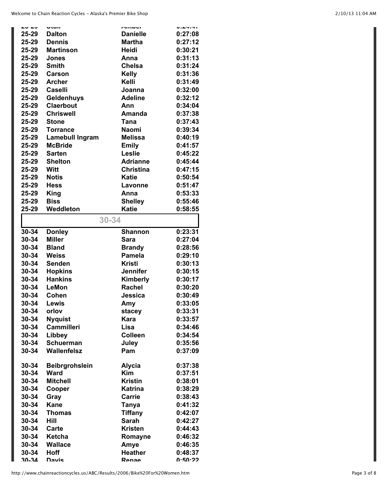| $   -$    |                        |                        |                             |
|-----------|------------------------|------------------------|-----------------------------|
|           | <b>Utun</b>            | <b>AUNVI</b>           | $V \cdot L \cdot T \cdot T$ |
| 25-29     | <b>Dalton</b>          | <b>Danielle</b>        | 0:27:08                     |
| 25-29     | <b>Dennis</b>          | <b>Martha</b>          | 0:27:12                     |
| 25-29     | <b>Martinson</b>       | Heidi                  | 0:30:21                     |
| 25-29     | Jones                  | Anna                   | 0:31:13                     |
| 25-29     | <b>Smith</b>           | Chelsa                 | 0:31:24                     |
| 25-29     | Carson                 | <b>Kelly</b>           | 0:31:36                     |
| 25-29     | <b>Archer</b>          | Kelli                  | 0:31:49                     |
| 25-29     | <b>Caselli</b>         | Joanna                 | 0:32:00                     |
| 25-29     | Geldenhuys             | <b>Adeline</b>         | 0:32:12                     |
| 25-29     | Claerbout              | Ann                    | 0:34:04                     |
| 25-29     | <b>Chriswell</b>       | Amanda                 | 0:37:38                     |
| 25-29     | <b>Stone</b>           | Tana                   | 0:37:43                     |
| 25-29     | <b>Torrance</b>        | Naomi                  | 0:39:34                     |
| 25-29     | <b>Lamebull Ingram</b> | <b>Melissa</b>         | 0:40:19                     |
| 25-29     | <b>McBride</b>         | <b>Emily</b>           | 0:41:57                     |
| 25-29     | <b>Sarten</b>          | Leslie                 | 0:45:22                     |
| 25-29     | <b>Shelton</b>         | <b>Adrianne</b>        | 0:45:44                     |
| 25-29     | <b>Witt</b>            | <b>Christina</b>       | 0:47:15                     |
| 25-29     | <b>Notis</b>           | <b>Katie</b>           | 0:50:54                     |
| 25-29     | <b>Hess</b>            | Lavonne                | 0:51:47                     |
| 25-29     | <b>King</b>            | Anna                   | 0:53:33                     |
| 25-29     | <b>Biss</b>            | <b>Shelley</b>         | 0:55:46                     |
| 25-29     | Weddleton              | <b>Katie</b>           | 0:58:55                     |
|           |                        |                        |                             |
|           | $30 - 34$              |                        |                             |
| 30-34     | <b>Donley</b>          | <b>Shannon</b>         | 0:23:31                     |
| $30 - 34$ | <b>Miller</b>          | <b>Sara</b>            | 0:27:04                     |
| 30-34     | <b>Bland</b>           | <b>Brandy</b>          | 0:28:56                     |
| 30-34     | <b>Weiss</b>           | <b>Pamela</b>          | 0:29:10                     |
|           |                        |                        |                             |
| $30 - 34$ | <b>Senden</b>          | <b>Kristi</b>          | 0:30:13                     |
| 30-34     | <b>Hopkins</b>         | <b>Jennifer</b>        | 0:30:15                     |
| $30 - 34$ | <b>Hankins</b>         | Kimberly               | 0:30:17                     |
| 30-34     | LeMon                  | <b>Rachel</b>          | 0:30:20                     |
| 30-34     | Cohen                  | Jessica                | 0:30:49                     |
| 30-34     | Lewis                  |                        | 0:33:05                     |
|           | orlov                  | Amy                    |                             |
| 30-34     |                        | stacey                 | 0:33:31                     |
| $30 - 34$ | <b>Nyquist</b>         | Kara                   | 0:33:57                     |
| 30-34     | <b>Cammilleri</b>      | Lisa<br><b>Colleen</b> | 0:34:46                     |
| 30-34     | Libbey                 |                        | 0:34:54                     |
| $30 - 34$ | <b>Schuerman</b>       | Juley                  | 0:35:56                     |
| 30-34     | Wallenfelsz            | Pam                    | 0:37:09                     |
| $30 - 34$ | Beibrgrohslein         | <b>Alycia</b>          | 0:37:38                     |
| 30-34     | <b>Ward</b>            | <b>Kim</b>             | 0:37:51                     |
| 30-34     | <b>Mitchell</b>        | <b>Kristin</b>         | 0:38:01                     |
| 30-34     |                        | <b>Katrina</b>         | 0:38:29                     |
| 30-34     | Cooper<br>Gray         | Carrie                 | 0:38:43                     |
| $30 - 34$ | <b>Kane</b>            | Tanya                  | 0:41:32                     |
| 30-34     | <b>Thomas</b>          | <b>Tiffany</b>         | 0:42:07                     |
| $30 - 34$ | Hill                   | <b>Sarah</b>           | 0:42:27                     |
| $30 - 34$ | Carte                  | <b>Kristen</b>         | 0:44:43                     |
| $30 - 34$ | Ketcha                 |                        | 0:46:32                     |
| $30 - 34$ | <b>Wallace</b>         | Romayne<br>Amye        | 0:46:35                     |
| $30 - 34$ | <b>Hoff</b>            | <b>Heather</b>         | 0:48:37                     |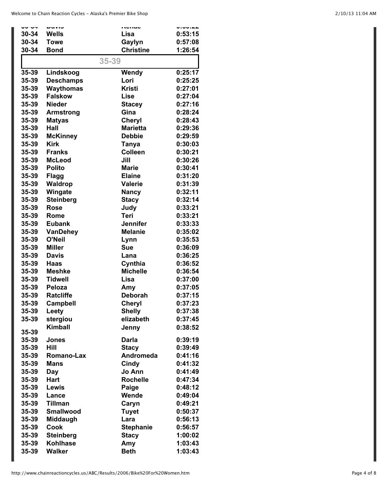| ャッマー           | <b>DUVIO</b>     | nunuu                     | V.VV. <del>LL</del> |
|----------------|------------------|---------------------------|---------------------|
| $30 - 34$      | <b>Wells</b>     | Lisa                      | 0:53:15             |
| $30 - 34$      | <b>Towe</b>      | Gaylyn                    | 0:57:08             |
| 30-34          | <b>Bond</b>      | <b>Christine</b>          | 1:26:54             |
|                |                  |                           |                     |
|                |                  | 35-39                     |                     |
| 35-39          | Lindskoog        | Wendy                     | 0:25:17             |
| 35-39          | <b>Deschamps</b> | Lori                      | 0:25:25             |
| 35-39          | Waythomas        | <b>Kristi</b>             | 0:27:01             |
| 35-39          | <b>Falskow</b>   | <b>Lise</b>               | 0:27:04             |
| 35-39          | <b>Nieder</b>    | <b>Stacey</b>             | 0:27:16             |
| 35-39          | <b>Armstrong</b> | Gina                      | 0:28:24             |
| 35-39          | <b>Matyas</b>    | Cheryl                    | 0:28:43             |
| 35-39          | Hall             | <b>Marietta</b>           | 0:29:36             |
| 35-39          | <b>McKinney</b>  | <b>Debbie</b>             | 0:29:59             |
| 35-39          | <b>Kirk</b>      | <b>Tanya</b>              | 0:30:03             |
| 35-39          | <b>Franks</b>    | <b>Colleen</b>            | 0:30:21             |
| 35-39          | <b>McLeod</b>    | Jill                      | 0:30:26             |
| 35-39          | <b>Polito</b>    | <b>Marie</b>              | 0:30:41             |
| 35-39          | <b>Flagg</b>     | <b>Elaine</b>             | 0:31:20             |
| 35-39          | Waldrop          | <b>Valerie</b>            | 0:31:39             |
|                |                  |                           | 0:32:11             |
| 35-39          | Wingate          | <b>Nancy</b>              |                     |
| 35-39          | <b>Steinberg</b> | <b>Stacy</b>              | 0:32:14             |
| 35-39          | <b>Rose</b>      | Judy                      | 0:33:21             |
| 35-39          | Rome             | Teri                      | 0:33:21             |
| 35-39          | <b>Eubank</b>    | <b>Jennifer</b>           | 0:33:33             |
| 35-39          | <b>VanDehey</b>  | <b>Melanie</b>            | 0:35:02             |
| 35-39          | O'Neil           | Lynn                      | 0:35:53             |
| 35-39          | <b>Miller</b>    | Sue                       | 0:36:09             |
| 35-39          | <b>Davis</b>     | Lana                      | 0:36:25             |
| 35-39          | <b>Haas</b>      | Cynthia                   | 0:36:52             |
| 35-39          | <b>Meshke</b>    | <b>Michelle</b>           | 0:36:54             |
| 35-39          | <b>Tidwell</b>   | Lisa                      | 0:37:00             |
| 35-39          | Peloza           | Amy                       | 0:37:05             |
| 35-39          | <b>Ratcliffe</b> | Deborah                   | 0:37:15             |
| 35-39          | <b>Campbell</b>  | Cheryl                    | 0:37:23             |
| 35-39          | <b>Leety</b>     | <b>Shelly</b>             | 0:37:38             |
| 35-39          | stergiou         | elizabeth                 | 0:37:45             |
|                | <b>Kimball</b>   | Jenny                     | 0:38:52             |
| 35-39<br>35-39 | <b>Jones</b>     | <b>Darla</b>              | 0:39:19             |
| 35-39          | Hill             |                           | 0:39:49             |
|                |                  | <b>Stacy</b><br>Andromeda | 0:41:16             |
| 35-39          | Romano-Lax       |                           |                     |
| 35-39          | <b>Mans</b>      | Cindy                     | 0:41:32             |
| 35-39          | Day              | Jo Ann                    | 0:41:49             |
| 35-39          | <b>Hart</b>      | <b>Rochelle</b>           | 0:47:34             |
| 35-39          | <b>Lewis</b>     | Paige                     | 0:48:12             |
| 35-39          | Lance            | Wende                     | 0:49:04             |
| 35-39          | <b>Tillman</b>   | Caryn                     | 0:49:21             |
| 35-39          | <b>Smallwood</b> | <b>Tuyet</b>              | 0:50:37             |
| 35-39          | Middaugh         | Lara                      | 0:56:13             |
| 35-39          | Cook             | <b>Stephanie</b>          | 0:56:57             |
| 35-39          | <b>Steinberg</b> | <b>Stacy</b>              | 1:00:02             |
| 35-39          | Kohlhase         | Amy                       | 1:03:43             |
| 35-39          | <b>Walker</b>    | <b>Beth</b>               | 1:03:43             |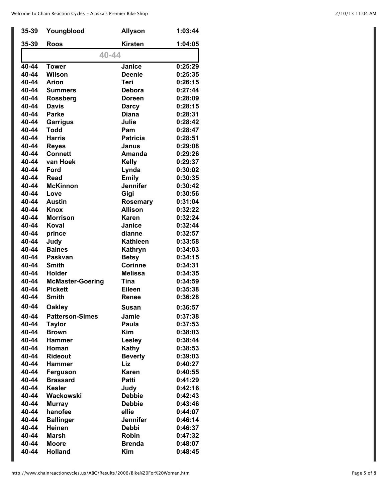| 35-39 | Youngblood              | <b>Allyson</b>  | 1:03:44 |  |
|-------|-------------------------|-----------------|---------|--|
| 35-39 | <b>Roos</b>             | <b>Kirsten</b>  | 1:04:05 |  |
| 40-44 |                         |                 |         |  |
| 40-44 | <b>Tower</b>            | Janice          | 0:25:29 |  |
| 40-44 | Wilson                  | <b>Deenie</b>   | 0:25:35 |  |
| 40-44 | <b>Arion</b>            | Teri            | 0:26:15 |  |
| 40-44 | <b>Summers</b>          | Debora          | 0:27:44 |  |
| 40-44 | <b>Rossberg</b>         | <b>Doreen</b>   | 0:28:09 |  |
| 40-44 | <b>Davis</b>            | <b>Darcy</b>    | 0:28:15 |  |
| 40-44 | <b>Parke</b>            | <b>Diana</b>    | 0:28:31 |  |
| 40-44 | <b>Garrigus</b>         | Julie           | 0:28:42 |  |
| 40-44 | <b>Todd</b>             | Pam             | 0:28:47 |  |
| 40-44 | <b>Harris</b>           | <b>Patricia</b> | 0:28:51 |  |
| 40-44 | <b>Reyes</b>            | Janus           | 0:29:08 |  |
| 40-44 | <b>Connett</b>          | Amanda          | 0:29:26 |  |
| 40-44 | van Hoek                | <b>Kelly</b>    | 0:29:37 |  |
| 40-44 | <b>Ford</b>             | Lynda           | 0:30:02 |  |
| 40-44 | Read                    | <b>Emily</b>    | 0:30:35 |  |
| 40-44 | <b>McKinnon</b>         | <b>Jennifer</b> | 0:30:42 |  |
| 40-44 | Love                    | Gigi            | 0:30:56 |  |
| 40-44 | <b>Austin</b>           | <b>Rosemary</b> | 0:31:04 |  |
| 40-44 | <b>Knox</b>             | <b>Allison</b>  | 0:32:22 |  |
| 40-44 | <b>Morrison</b>         | <b>Karen</b>    | 0:32:24 |  |
| 40-44 | <b>Koval</b>            | <b>Janice</b>   | 0:32:44 |  |
| 40-44 | prince                  | dianne          | 0:32:57 |  |
| 40-44 | Judy                    | <b>Kathleen</b> | 0:33:58 |  |
| 40-44 | <b>Baines</b>           | Kathryn         | 0:34:03 |  |
| 40-44 | Paskvan                 | <b>Betsy</b>    | 0:34:15 |  |
| 40-44 | <b>Smith</b>            | <b>Corinne</b>  | 0:34:31 |  |
| 40-44 | Holder                  | <b>Melissa</b>  | 0:34:35 |  |
| 40-44 | <b>McMaster-Goering</b> | <b>Tina</b>     | 0:34:59 |  |
| 40-44 | <b>Pickett</b>          | <b>Eileen</b>   | 0:35:38 |  |
| 40-44 | <b>Smith</b>            | Renee           | 0:36:28 |  |
| 40-44 | <b>Oakley</b>           | <b>Susan</b>    | 0:36:57 |  |
| 40-44 | <b>Patterson-Simes</b>  | Jamie           | 0:37:38 |  |
| 40-44 | <b>Taylor</b>           | Paula           | 0:37:53 |  |
| 40-44 | <b>Brown</b>            | <b>Kim</b>      | 0:38:03 |  |
| 40-44 | <b>Hammer</b>           | <b>Lesley</b>   | 0:38:44 |  |
| 40-44 | Homan                   | Kathy           | 0:38:53 |  |
| 40-44 | <b>Rideout</b>          | <b>Beverly</b>  | 0:39:03 |  |
| 40-44 | <b>Hammer</b>           | Liz             | 0:40:27 |  |
| 40-44 | Ferguson                | Karen           | 0:40:55 |  |
| 40-44 | <b>Brassard</b>         | Patti           | 0:41:29 |  |
| 40-44 | <b>Kesler</b>           | Judy            | 0:42:16 |  |
| 40-44 | Wackowski               | <b>Debbie</b>   | 0:42:43 |  |
| 40-44 | <b>Murray</b>           | <b>Debbie</b>   | 0:43:46 |  |
| 40-44 | hanofee                 | ellie           | 0:44:07 |  |
| 40-44 | <b>Ballinger</b>        | <b>Jennifer</b> | 0:46:14 |  |
| 40-44 | <b>Heinen</b>           | <b>Debbi</b>    | 0:46:37 |  |
| 40-44 | <b>Marsh</b>            | <b>Robin</b>    | 0:47:32 |  |
| 40-44 | <b>Moore</b>            | <b>Brenda</b>   | 0:48:07 |  |
| 40-44 | <b>Holland</b>          | <b>Kim</b>      | 0:48:45 |  |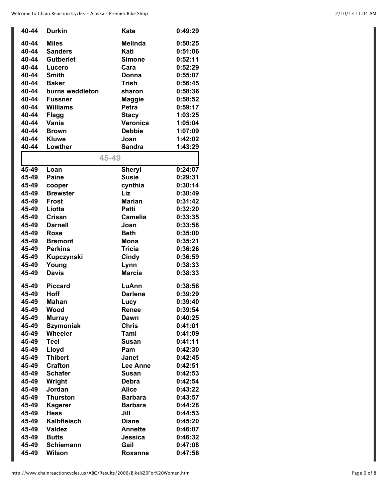| 40-44 | <b>Durkin</b>      | Kate            | 0:49:29 |
|-------|--------------------|-----------------|---------|
| 40-44 | <b>Miles</b>       | <b>Melinda</b>  | 0:50:25 |
| 40-44 | <b>Sanders</b>     | Kati            | 0:51:06 |
| 40-44 | <b>Gutberlet</b>   | <b>Simone</b>   | 0:52:11 |
| 40-44 | Lucero             | Cara            | 0:52:29 |
| 40-44 | <b>Smith</b>       | Donna           | 0:55:07 |
| 40-44 | <b>Baker</b>       | <b>Trish</b>    | 0:56:45 |
| 40-44 | burns weddleton    | sharon          | 0:58:36 |
| 40-44 | <b>Fussner</b>     | <b>Maggie</b>   | 0:58:52 |
| 40-44 | <b>Williams</b>    | Petra           | 0:59:17 |
| 40-44 | <b>Flagg</b>       | <b>Stacy</b>    | 1:03:25 |
| 40-44 | Vania              | Veronica        | 1:05:04 |
| 40-44 | <b>Brown</b>       | <b>Debbie</b>   | 1:07:09 |
| 40-44 | <b>Kluwe</b>       | Joan            | 1:42:02 |
| 40-44 | Lowther            | <b>Sandra</b>   | 1:43:29 |
|       |                    |                 |         |
|       | 45-49              |                 |         |
| 45-49 | Loan               | <b>Sheryl</b>   | 0:24:07 |
| 45-49 | <b>Paine</b>       | <b>Susie</b>    | 0:29:31 |
| 45-49 | cooper             | cynthia         | 0:30:14 |
| 45-49 | <b>Brewster</b>    | Liz             | 0:30:49 |
| 45-49 | <b>Frost</b>       | <b>Marian</b>   | 0:31:42 |
| 45-49 | Liotta             | <b>Patti</b>    | 0:32:20 |
| 45-49 | Crisan             | <b>Camelia</b>  | 0:33:35 |
| 45-49 | <b>Darnell</b>     | Joan            | 0:33:58 |
| 45-49 | <b>Rose</b>        | <b>Beth</b>     | 0:35:00 |
| 45-49 | <b>Bremont</b>     | <b>Mona</b>     | 0:35:21 |
| 45-49 | <b>Perkins</b>     | <b>Tricia</b>   | 0:36:26 |
| 45-49 | Kupczynski         | Cindy           | 0:36:59 |
| 45-49 | Young              | Lynn            | 0:38:33 |
| 45-49 | <b>Davis</b>       | <b>Marcia</b>   | 0:38:33 |
| 45-49 | <b>Piccard</b>     | LuAnn           | 0:38:56 |
| 45-49 | Hoff               | <b>Darlene</b>  | 0:39:29 |
| 45-49 | <b>Mahan</b>       | Lucy            | 0:39:40 |
| 45-49 | Wood               | Renee           | 0:39:54 |
| 45-49 | <b>Murray</b>      | Dawn            | 0:40:25 |
| 45-49 | <b>Szymoniak</b>   | <b>Chris</b>    | 0:41:01 |
| 45-49 | Wheeler            | Tami            | 0:41:09 |
| 45-49 | <b>Teel</b>        | <b>Susan</b>    | 0:41:11 |
| 45-49 | Lloyd              | Pam             | 0:42:30 |
| 45-49 | <b>Thibert</b>     | Janet           | 0:42:45 |
| 45-49 | <b>Crafton</b>     | <b>Lee Anne</b> | 0:42:51 |
| 45-49 | <b>Schafer</b>     | Susan           | 0:42:53 |
| 45-49 | Wright             | <b>Debra</b>    | 0:42:54 |
| 45-49 | Jordan             | <b>Alice</b>    | 0:43:22 |
| 45-49 | <b>Thurston</b>    | <b>Barbara</b>  | 0:43:57 |
| 45-49 | <b>Kagerer</b>     | <b>Barbara</b>  | 0:44:28 |
| 45-49 | <b>Hess</b>        | Jill            | 0:44:53 |
| 45-49 | <b>Kalbfleisch</b> | <b>Diane</b>    | 0:45:20 |
| 45-49 | <b>Valdez</b>      | <b>Annette</b>  | 0:46:07 |
| 45-49 | <b>Butts</b>       | Jessica         | 0:46:32 |
| 45-49 | <b>Schiemann</b>   | Gail            | 0:47:08 |
| 45-49 | <b>Wilson</b>      | Roxanne         | 0:47:56 |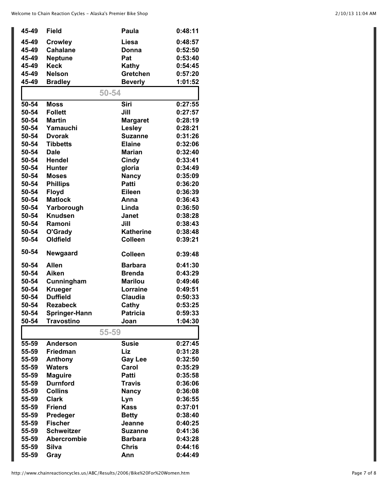| 45-49 | <b>Field</b>       | Paula            | 0:48:11 |
|-------|--------------------|------------------|---------|
| 45-49 | <b>Crowley</b>     | Liesa            | 0:48:57 |
| 45-49 | <b>Cahalane</b>    | Donna            | 0:52:50 |
| 45-49 | <b>Neptune</b>     | Pat              | 0:53:40 |
| 45-49 | <b>Keck</b>        | <b>Kathy</b>     | 0:54:45 |
| 45-49 | <b>Nelson</b>      | Gretchen         | 0:57:20 |
| 45-49 | <b>Bradley</b>     | <b>Beverly</b>   | 1:01:52 |
|       | 50-54              |                  |         |
|       |                    |                  |         |
| 50-54 | <b>Moss</b>        | Siri             | 0:27:55 |
| 50-54 | <b>Follett</b>     | Jill             | 0:27:57 |
| 50-54 | <b>Martin</b>      | <b>Margaret</b>  | 0:28:19 |
| 50-54 | Yamauchi           | <b>Lesley</b>    | 0:28:21 |
| 50-54 | <b>Dvorak</b>      | <b>Suzanne</b>   | 0:31:26 |
| 50-54 | <b>Tibbetts</b>    | <b>Elaine</b>    | 0:32:06 |
| 50-54 | <b>Dale</b>        | <b>Marian</b>    | 0:32:40 |
| 50-54 | <b>Hendel</b>      | Cindy            | 0:33:41 |
| 50-54 | <b>Hunter</b>      | gloria           | 0:34:49 |
| 50-54 | <b>Moses</b>       | <b>Nancy</b>     | 0:35:09 |
| 50-54 | <b>Phillips</b>    | <b>Patti</b>     | 0:36:20 |
| 50-54 | <b>Floyd</b>       | <b>Eileen</b>    | 0:36:39 |
| 50-54 | <b>Matlock</b>     | Anna             | 0:36:43 |
| 50-54 | Yarborough         | Linda            | 0:36:50 |
| 50-54 | <b>Knudsen</b>     | <b>Janet</b>     | 0:38:28 |
| 50-54 | Ramoni             | Jill             | 0:38:43 |
| 50-54 | O'Grady            | <b>Katherine</b> | 0:38:48 |
| 50-54 | <b>Oldfield</b>    | <b>Colleen</b>   | 0:39:21 |
| 50-54 | Newgaard           | <b>Colleen</b>   | 0:39:48 |
| 50-54 | <b>Allen</b>       | <b>Barbara</b>   | 0:41:30 |
| 50-54 | Aiken              | <b>Brenda</b>    | 0:43:29 |
| 50-54 | Cunningham         | <b>Marilou</b>   | 0:49:46 |
| 50-54 | <b>Krueger</b>     | Lorraine         | 0:49:51 |
| 50-54 | <b>Duffield</b>    | <b>Claudia</b>   | 0:50:33 |
| 50-54 | <b>Rezabeck</b>    | Cathy            | 0:53:25 |
| 50-54 | Springer-Hann      | <b>Patricia</b>  | 0:59:33 |
| 50-54 | <b>Travostino</b>  | Joan             | 1:04:30 |
|       | 55-59              |                  |         |
| 55-59 | <b>Anderson</b>    | <b>Susie</b>     | 0:27:45 |
| 55-59 | Friedman           | Liz              | 0:31:28 |
| 55-59 | Anthony            | <b>Gay Lee</b>   | 0:32:50 |
| 55-59 | <b>Waters</b>      | Carol            | 0:35:29 |
| 55-59 | <b>Maguire</b>     | Patti            | 0:35:58 |
| 55-59 | <b>Durnford</b>    | <b>Travis</b>    | 0:36:06 |
| 55-59 | <b>Collins</b>     | <b>Nancy</b>     | 0:36:08 |
| 55-59 | <b>Clark</b>       | Lyn              | 0:36:55 |
| 55-59 | <b>Friend</b>      | <b>Kass</b>      | 0:37:01 |
| 55-59 | Predeger           | <b>Betty</b>     | 0:38:40 |
| 55-59 | <b>Fischer</b>     | Jeanne           | 0:40:25 |
| 55-59 | <b>Schweitzer</b>  | <b>Suzanne</b>   | 0:41:36 |
| 55-59 | <b>Abercrombie</b> | <b>Barbara</b>   | 0:43:28 |
| 55-59 | <b>Silva</b>       | <b>Chris</b>     | 0:44:16 |
| 55-59 | Gray               | Ann              | 0:44:49 |